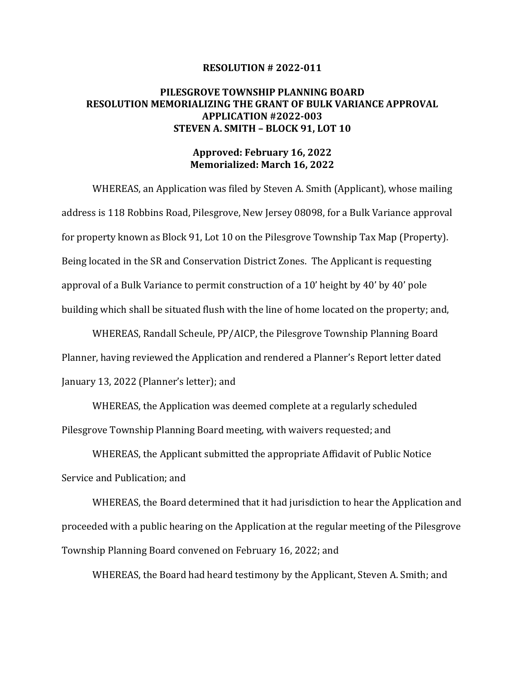#### **RESOLUTION # 2022-011**

# **PILESGROVE TOWNSHIP PLANNING BOARD RESOLUTION MEMORIALIZING THE GRANT OF BULK VARIANCE APPROVAL APPLICATION #2022-003 STEVEN A. SMITH – BLOCK 91, LOT 10**

## **Approved: February 16, 2022 Memorialized: March 16, 2022**

WHEREAS, an Application was filed by Steven A. Smith (Applicant), whose mailing address is 118 Robbins Road, Pilesgrove, New Jersey 08098, for a Bulk Variance approval for property known as Block 91, Lot 10 on the Pilesgrove Township Tax Map (Property). Being located in the SR and Conservation District Zones. The Applicant is requesting approval of a Bulk Variance to permit construction of a 10' height by 40' by 40' pole building which shall be situated flush with the line of home located on the property; and,

WHEREAS, Randall Scheule, PP/AICP, the Pilesgrove Township Planning Board Planner, having reviewed the Application and rendered a Planner's Report letter dated January 13, 2022 (Planner's letter); and

WHEREAS, the Application was deemed complete at a regularly scheduled Pilesgrove Township Planning Board meeting, with waivers requested; and

WHEREAS, the Applicant submitted the appropriate Affidavit of Public Notice Service and Publication; and

WHEREAS, the Board determined that it had jurisdiction to hear the Application and proceeded with a public hearing on the Application at the regular meeting of the Pilesgrove Township Planning Board convened on February 16, 2022; and

WHEREAS, the Board had heard testimony by the Applicant, Steven A. Smith; and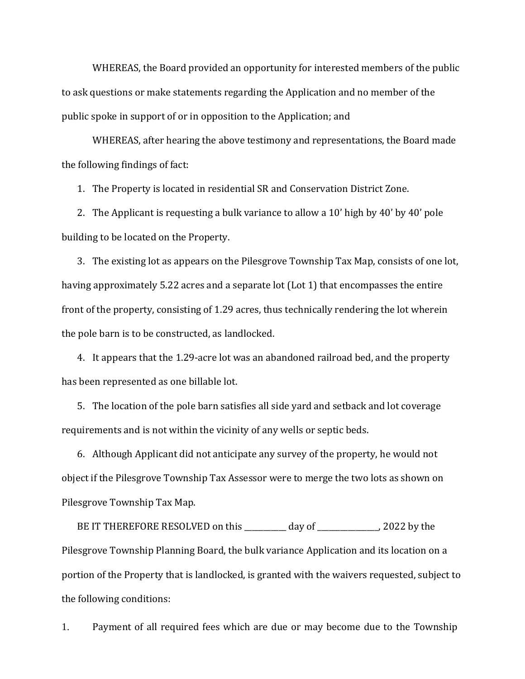WHEREAS, the Board provided an opportunity for interested members of the public to ask questions or make statements regarding the Application and no member of the public spoke in support of or in opposition to the Application; and

WHEREAS, after hearing the above testimony and representations, the Board made the following findings of fact:

1. The Property is located in residential SR and Conservation District Zone.

2. The Applicant is requesting a bulk variance to allow a 10' high by 40' by 40' pole building to be located on the Property.

3. The existing lot as appears on the Pilesgrove Township Tax Map, consists of one lot, having approximately 5.22 acres and a separate lot (Lot 1) that encompasses the entire front of the property, consisting of 1.29 acres, thus technically rendering the lot wherein the pole barn is to be constructed, as landlocked.

4. It appears that the 1.29-acre lot was an abandoned railroad bed, and the property has been represented as one billable lot.

5. The location of the pole barn satisfies all side yard and setback and lot coverage requirements and is not within the vicinity of any wells or septic beds.

6. Although Applicant did not anticipate any survey of the property, he would not object if the Pilesgrove Township Tax Assessor were to merge the two lots as shown on Pilesgrove Township Tax Map.

BE IT THEREFORE RESOLVED on this \_\_\_\_\_\_\_\_\_ day of \_\_\_\_\_\_\_\_\_\_\_\_, 2022 by the Pilesgrove Township Planning Board, the bulk variance Application and its location on a portion of the Property that is landlocked, is granted with the waivers requested, subject to the following conditions:

1. Payment of all required fees which are due or may become due to the Township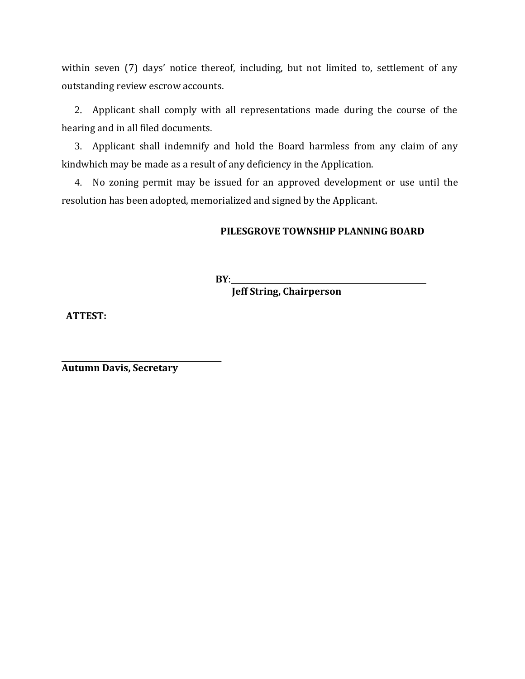within seven (7) days' notice thereof, including, but not limited to, settlement of any outstanding review escrow accounts.

2. Applicant shall comply with all representations made during the course of the hearing and in all filed documents.

3. Applicant shall indemnify and hold the Board harmless from any claim of any kindwhich may be made as a result of any deficiency in the Application.

4. No zoning permit may be issued for an approved development or use until the resolution has been adopted, memorialized and signed by the Applicant.

# **PILESGROVE TOWNSHIP PLANNING BOARD**

**BY**:

 **Jeff String, Chairperson**

**ATTEST:**

**Autumn Davis, Secretary**